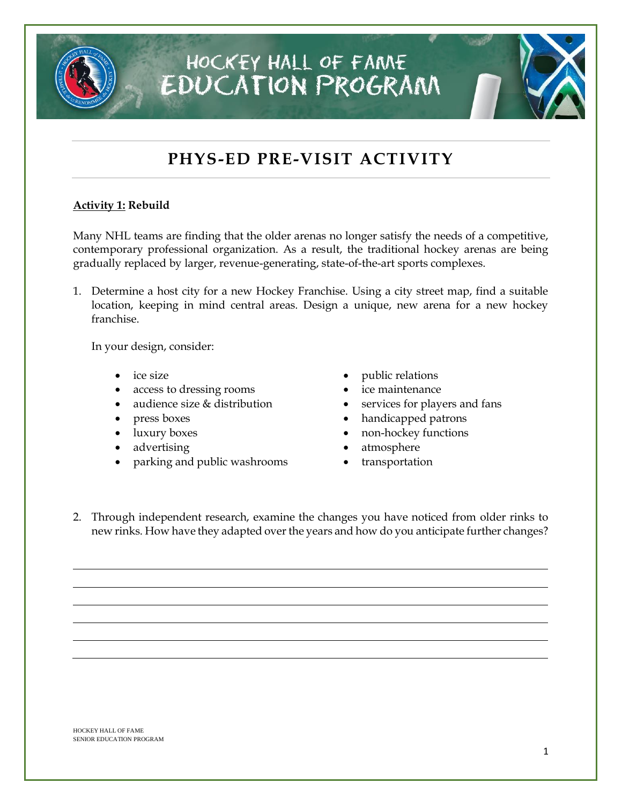## HOCKEY HALL OF FAME **EDUCATION PROGRAM**

### **PHYS-ED PRE-VISIT ACTIVITY**

#### **Activity 1: Rebuild**

Many NHL teams are finding that the older arenas no longer satisfy the needs of a competitive, contemporary professional organization. As a result, the traditional hockey arenas are being gradually replaced by larger, revenue-generating, state-of-the-art sports complexes.

1. Determine a host city for a new Hockey Franchise. Using a city street map, find a suitable location, keeping in mind central areas. Design a unique, new arena for a new hockey franchise.

In your design, consider:

- ice size
- access to dressing rooms
- audience size & distribution
- press boxes
- luxury boxes
- advertising
- parking and public washrooms
- public relations
- ice maintenance
- services for players and fans
- handicapped patrons
- non-hockey functions
- atmosphere
- transportation
- 2. Through independent research, examine the changes you have noticed from older rinks to new rinks. How have they adapted over the years and how do you anticipate further changes?

HOCKEY HALL OF FAME SENIOR EDUCATION PROGRAM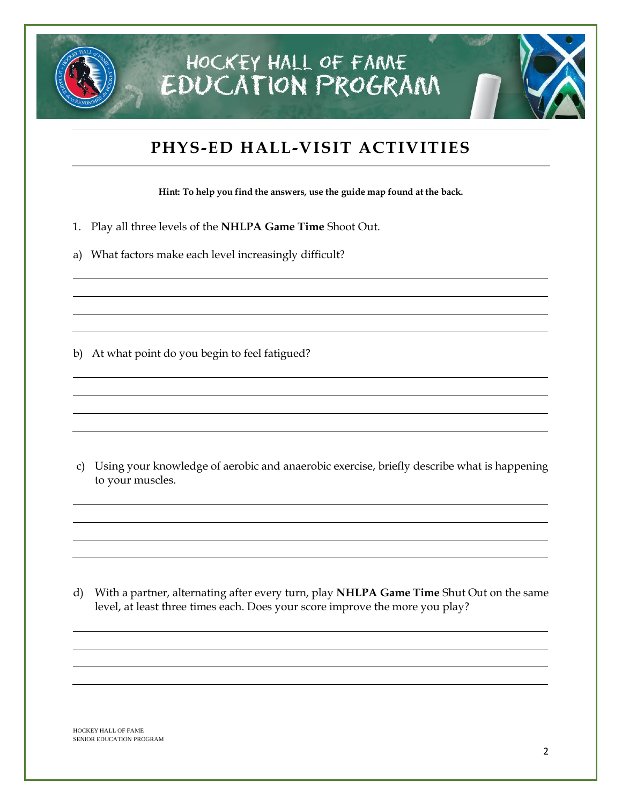

#### **PHYS-ED HALL-VISIT ACTIVITIES**

**Hint: To help you find the answers, use the guide map found at the back.**

- 1. Play all three levels of the **NHLPA Game Time** Shoot Out.
- a) What factors make each level increasingly difficult?

b) At what point do you begin to feel fatigued?

c) Using your knowledge of aerobic and anaerobic exercise, briefly describe what is happening to your muscles.

d) With a partner, alternating after every turn, play **NHLPA Game Time** Shut Out on the same level, at least three times each. Does your score improve the more you play?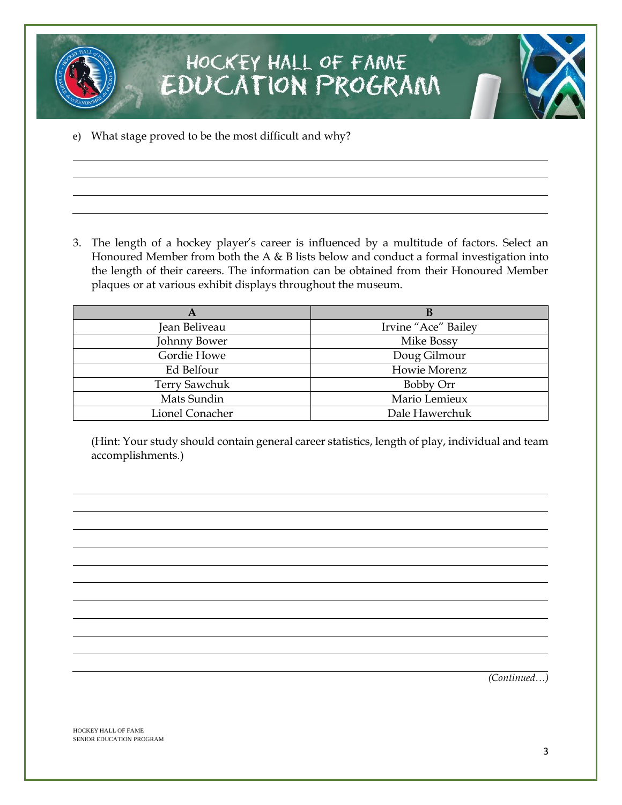

e) What stage proved to be the most difficult and why?

3. The length of a hockey player's career is influenced by a multitude of factors. Select an Honoured Member from both the A & B lists below and conduct a formal investigation into the length of their careers. The information can be obtained from their Honoured Member plaques or at various exhibit displays throughout the museum.

| A                    | В                   |
|----------------------|---------------------|
| Jean Beliveau        | Irvine "Ace" Bailey |
| Johnny Bower         | Mike Bossy          |
| Gordie Howe          | Doug Gilmour        |
| Ed Belfour           | Howie Morenz        |
| <b>Terry Sawchuk</b> | Bobby Orr           |
| Mats Sundin          | Mario Lemieux       |
| Lionel Conacher      | Dale Hawerchuk      |

(Hint: Your study should contain general career statistics, length of play, individual and team accomplishments.)

*(Continued…)*

HOCKEY HALL OF FAME SENIOR EDUCATION PROGRAM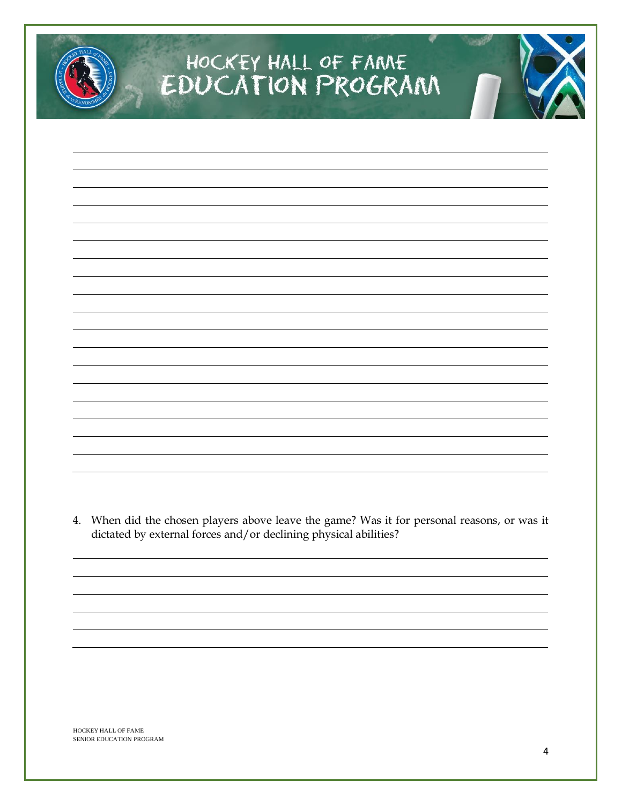# HOCKEY HALL OF FAME<br>EDUCATION PROGRAM

4. When did the chosen players above leave the game? Was it for personal reasons, or was it dictated by external forces and/or declining physical abilities?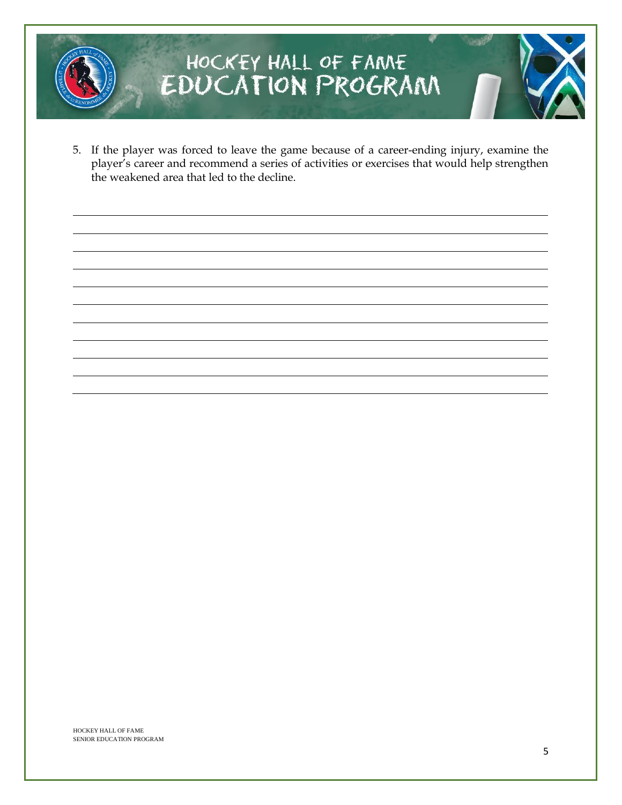

# HOCKEY HALL OF FAME<br>EDUCATION PROGRAM

5. If the player was forced to leave the game because of a career-ending injury, examine the player's career and recommend a series of activities or exercises that would help strengthen the weakened area that led to the decline.

HOCKEY HALL OF FAME SENIOR EDUCATION PROGRAM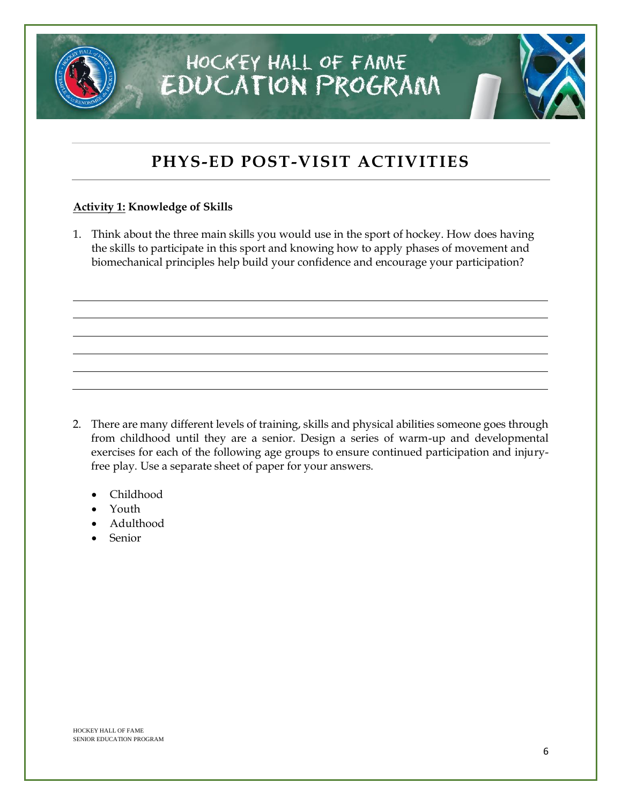# **PHYS-ED POST-VISIT ACTIVITIES**

HOCKEY HALL OF FAME

**EDUCATION PROGRAM** 

#### **Activity 1: Knowledge of Skills**

1. Think about the three main skills you would use in the sport of hockey. How does having the skills to participate in this sport and knowing how to apply phases of movement and biomechanical principles help build your confidence and encourage your participation?

- 2. There are many different levels of training, skills and physical abilities someone goes through from childhood until they are a senior. Design a series of warm-up and developmental exercises for each of the following age groups to ensure continued participation and injuryfree play. Use a separate sheet of paper for your answers.
	- Childhood
	- Youth
	- Adulthood
	- Senior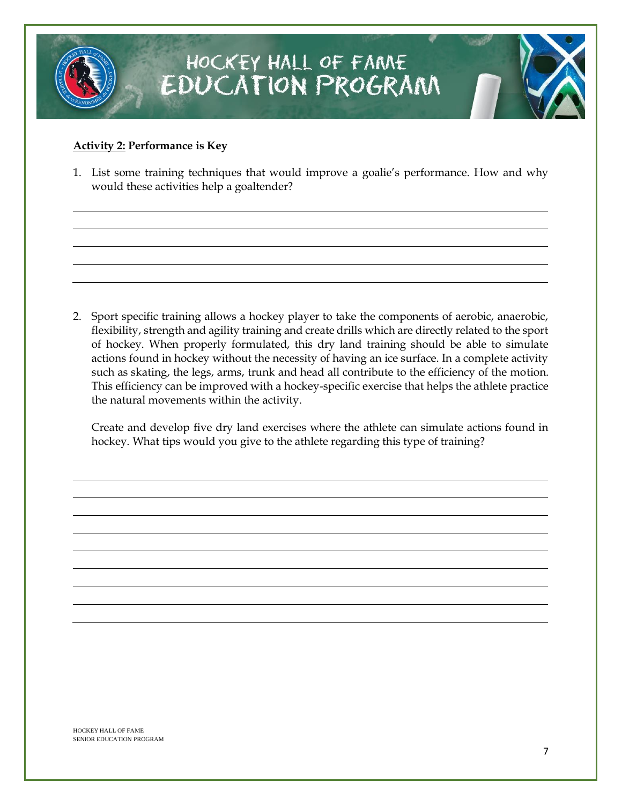

#### **Activity 2: Performance is Key**

1. List some training techniques that would improve a goalie's performance. How and why would these activities help a goaltender?

2. Sport specific training allows a hockey player to take the components of aerobic, anaerobic, flexibility, strength and agility training and create drills which are directly related to the sport of hockey. When properly formulated, this dry land training should be able to simulate actions found in hockey without the necessity of having an ice surface. In a complete activity such as skating, the legs, arms, trunk and head all contribute to the efficiency of the motion. This efficiency can be improved with a hockey-specific exercise that helps the athlete practice the natural movements within the activity.

Create and develop five dry land exercises where the athlete can simulate actions found in hockey. What tips would you give to the athlete regarding this type of training?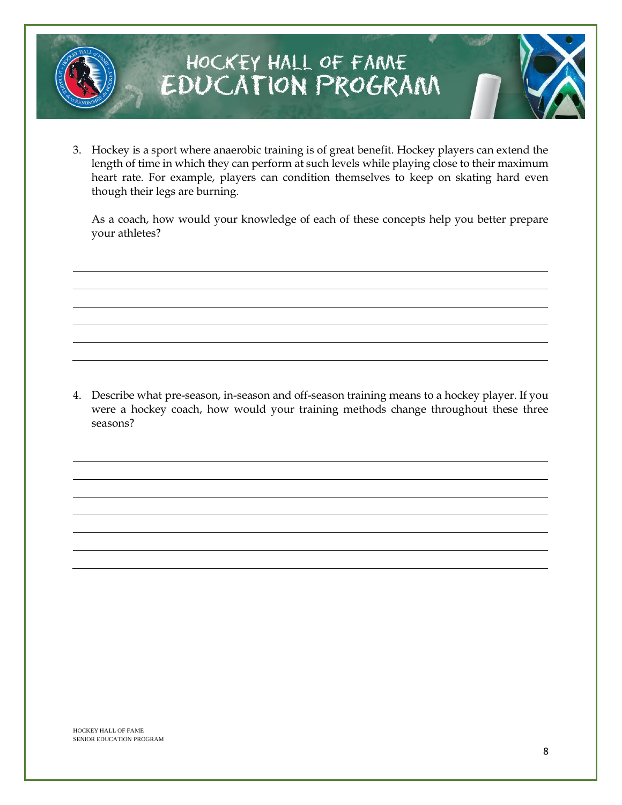

## HOCKEY HALL OF FAME EDUCATION PROGRAM

3. Hockey is a sport where anaerobic training is of great benefit. Hockey players can extend the length of time in which they can perform at such levels while playing close to their maximum heart rate. For example, players can condition themselves to keep on skating hard even though their legs are burning.

As a coach, how would your knowledge of each of these concepts help you better prepare your athletes?

4. Describe what pre-season, in-season and off-season training means to a hockey player. If you were a hockey coach, how would your training methods change throughout these three seasons?